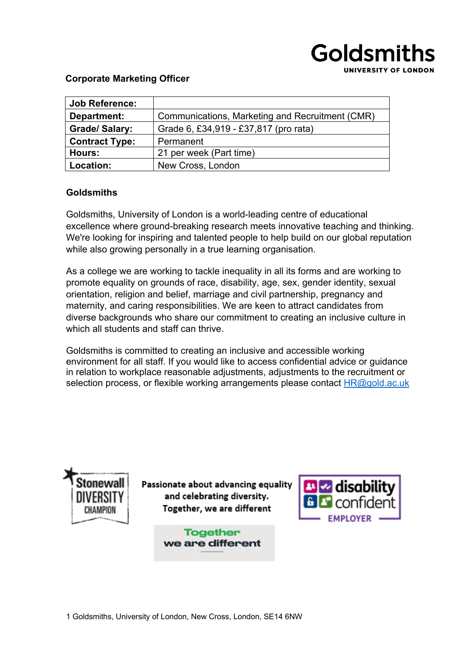

#### **Corporate Marketing Officer**

| <b>Job Reference:</b> |                                                 |
|-----------------------|-------------------------------------------------|
| Department:           | Communications, Marketing and Recruitment (CMR) |
| <b>Grade/Salary:</b>  | Grade 6, £34,919 - £37,817 (pro rata)           |
| <b>Contract Type:</b> | Permanent                                       |
| Hours:                | 21 per week (Part time)                         |
| Location:             | New Cross, London                               |

#### **Goldsmiths**

Goldsmiths, University of London is a world-leading centre of educational excellence where ground-breaking research meets innovative teaching and thinking. We're looking for inspiring and talented people to help build on our global reputation while also growing personally in a true learning organisation.

As a college we are working to tackle inequality in all its forms and are working to promote equality on grounds of race, disability, age, sex, gender identity, sexual orientation, religion and belief, marriage and civil partnership, pregnancy and maternity, and caring responsibilities. We are keen to attract candidates from diverse backgrounds who share our commitment to creating an inclusive culture in which all students and staff can thrive.

Goldsmiths is committed to creating an inclusive and accessible working environment for all staff. If you would like to access confidential advice or guidance in relation to workplace reasonable adjustments, adjustments to the recruitment or selection process, or flexible working arrangements please contact HR@gold.ac.uk



Passionate about advancing equality and celebrating diversity. Together, we are different

> **Together** we are different

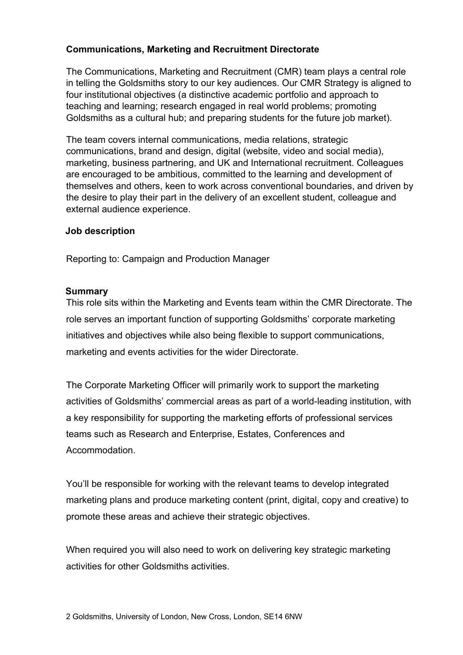## **Communications, Marketing and Recruitment Directorate**

The Communications, Marketing and Recruitment (CMR) team plays a central role in telling the Goldsmiths story to our key audiences. Our CMR Strategy is aligned to four institutional objectives (a distinctive academic portfolio and approach to teaching and learning; research engaged in real world problems; promoting Goldsmiths as a cultural hub; and preparing students for the future job market).

The team covers internal communications, media relations, strategic communications, brand and design, digital (website, video and social media), marketing, business partnering, and UK and International recruitment. Colleagues are encouraged to be ambitious, committed to the learning and development of themselves and others, keen to work across conventional boundaries, and driven by the desire to play their part in the delivery of an excellent student, colleague and external audience experience.

#### **Job description**

Reporting to: Campaign and Production Manager

#### **Summary**

This role sits within the Marketing and Events team within the CMR Directorate. The role serves an important function of supporting Goldsmiths' corporate marketing initiatives and objectives while also being flexible to support communications, marketing and events activities for the wider Directorate.

The Corporate Marketing Officer will primarily work to support the marketing activities of Goldsmiths' commercial areas as part of a world-leading institution, with a key responsibility for supporting the marketing efforts of professional services teams such as Research and Enterprise, Estates, Conferences and Accommodation.

You'll be responsible for working with the relevant teams to develop integrated marketing plans and produce marketing content (print, digital, copy and creative) to promote these areas and achieve their strategic objectives.

When required you will also need to work on delivering key strategic marketing activities for other Goldsmiths activities.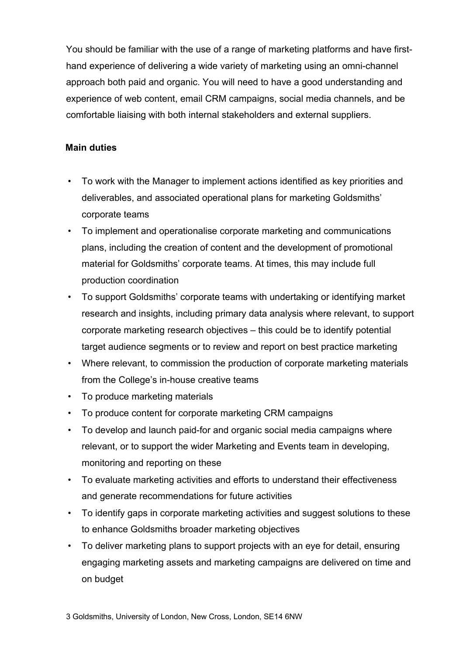You should be familiar with the use of a range of marketing platforms and have firsthand experience of delivering a wide variety of marketing using an omni-channel approach both paid and organic. You will need to have a good understanding and experience of web content, email CRM campaigns, social media channels, and be comfortable liaising with both internal stakeholders and external suppliers.

## **Main duties**

- To work with the Manager to implement actions identified as key priorities and deliverables, and associated operational plans for marketing Goldsmiths' corporate teams
- To implement and operationalise corporate marketing and communications plans, including the creation of content and the development of promotional material for Goldsmiths' corporate teams. At times, this may include full production coordination
- To support Goldsmiths' corporate teams with undertaking or identifying market research and insights, including primary data analysis where relevant, to support corporate marketing research objectives – this could be to identify potential target audience segments or to review and report on best practice marketing
- Where relevant, to commission the production of corporate marketing materials from the College's in-house creative teams
- To produce marketing materials
- To produce content for corporate marketing CRM campaigns
- To develop and launch paid-for and organic social media campaigns where relevant, or to support the wider Marketing and Events team in developing, monitoring and reporting on these
- To evaluate marketing activities and efforts to understand their effectiveness and generate recommendations for future activities
- To identify gaps in corporate marketing activities and suggest solutions to these to enhance Goldsmiths broader marketing objectives
- To deliver marketing plans to support projects with an eye for detail, ensuring engaging marketing assets and marketing campaigns are delivered on time and on budget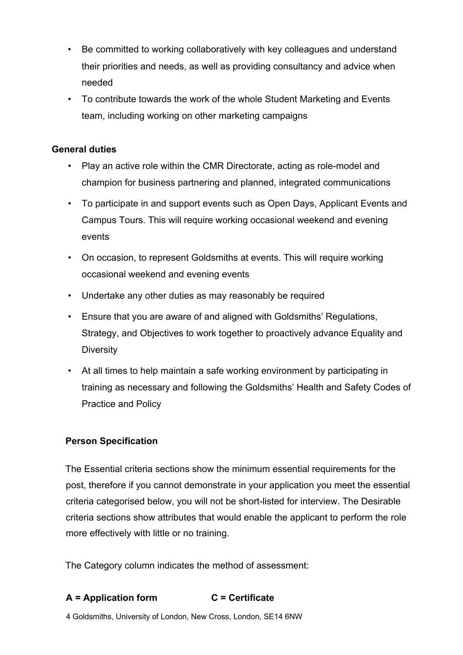- Be committed to working collaboratively with key colleagues and understand their priorities and needs, as well as providing consultancy and advice when needed
- To contribute towards the work of the whole Student Marketing and Events team, including working on other marketing campaigns

### **General duties**

- Play an active role within the CMR Directorate, acting as role-model and champion for business partnering and planned, integrated communications
- To participate in and support events such as Open Days, Applicant Events and Campus Tours. This will require working occasional weekend and evening events
- On occasion, to represent Goldsmiths at events. This will require working occasional weekend and evening events
- Undertake any other duties as may reasonably be required
- Ensure that you are aware of and aligned with Goldsmiths' Regulations, Strategy, and Objectives to work together to proactively advance Equality and **Diversity**
- At all times to help maintain a safe working environment by participating in training as necessary and following the Goldsmiths' Health and Safety Codes of Practice and Policy

## **Person Specification**

The Essential criteria sections show the minimum essential requirements for the post, therefore if you cannot demonstrate in your application you meet the essential criteria categorised below, you will not be short-listed for interview. The Desirable criteria sections show attributes that would enable the applicant to perform the role more effectively with little or no training.

The Category column indicates the method of assessment:

## **A = Application form C = Certificate**

4 Goldsmiths, University of London, New Cross, London, SE14 6NW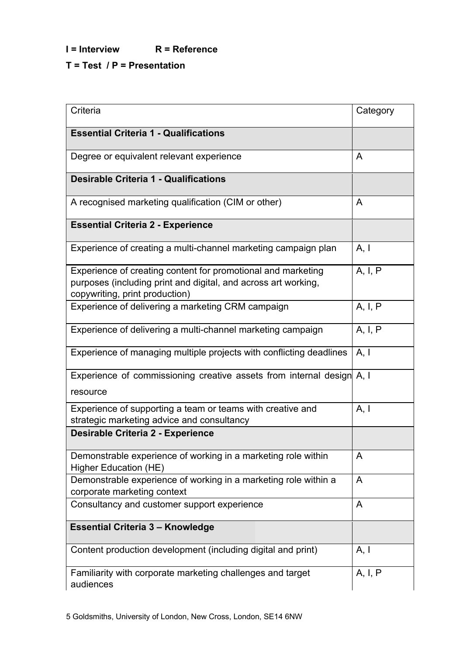# **I = Interview R = Reference**

## **T = Test / P = Presentation**

| Criteria                                                                                                                                                         | Category |
|------------------------------------------------------------------------------------------------------------------------------------------------------------------|----------|
| <b>Essential Criteria 1 - Qualifications</b>                                                                                                                     |          |
| Degree or equivalent relevant experience                                                                                                                         | A        |
| <b>Desirable Criteria 1 - Qualifications</b>                                                                                                                     |          |
| A recognised marketing qualification (CIM or other)                                                                                                              | A        |
| <b>Essential Criteria 2 - Experience</b>                                                                                                                         |          |
| Experience of creating a multi-channel marketing campaign plan                                                                                                   | A, I     |
| Experience of creating content for promotional and marketing<br>purposes (including print and digital, and across art working,<br>copywriting, print production) | A, I, P  |
| Experience of delivering a marketing CRM campaign                                                                                                                | A, I, P  |
| Experience of delivering a multi-channel marketing campaign                                                                                                      | A, I, P  |
| Experience of managing multiple projects with conflicting deadlines                                                                                              | A, I     |
| Experience of commissioning creative assets from internal design A, I<br>resource                                                                                |          |
| Experience of supporting a team or teams with creative and<br>strategic marketing advice and consultancy                                                         | A, I     |
| <b>Desirable Criteria 2 - Experience</b>                                                                                                                         |          |
| Demonstrable experience of working in a marketing role within<br><b>Higher Education (HE)</b>                                                                    | A        |
| Demonstrable experience of working in a marketing role within a<br>corporate marketing context                                                                   | A        |
| Consultancy and customer support experience                                                                                                                      | A        |
| <b>Essential Criteria 3 - Knowledge</b>                                                                                                                          |          |
| Content production development (including digital and print)                                                                                                     | A, I     |
| Familiarity with corporate marketing challenges and target<br>audiences                                                                                          | A, I, P  |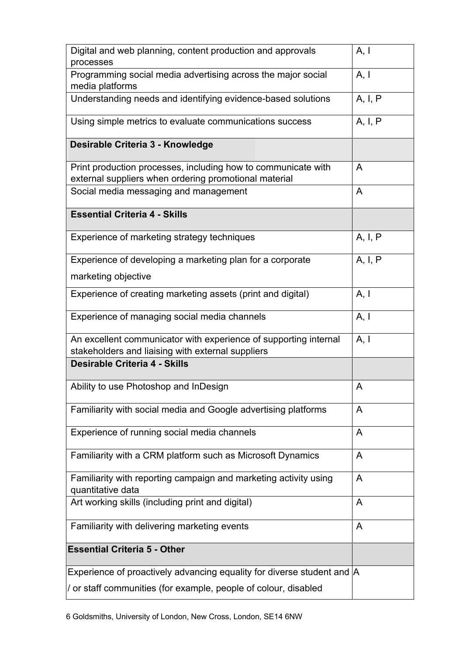| Digital and web planning, content production and approvals<br>processes                                                | A, I    |
|------------------------------------------------------------------------------------------------------------------------|---------|
| Programming social media advertising across the major social<br>media platforms                                        | A, I    |
| Understanding needs and identifying evidence-based solutions                                                           | A, I, P |
| Using simple metrics to evaluate communications success                                                                | A, I, P |
| Desirable Criteria 3 - Knowledge                                                                                       |         |
| Print production processes, including how to communicate with<br>external suppliers when ordering promotional material | A       |
| Social media messaging and management                                                                                  | A       |
| <b>Essential Criteria 4 - Skills</b>                                                                                   |         |
| Experience of marketing strategy techniques                                                                            | A, I, P |
| Experience of developing a marketing plan for a corporate                                                              | A, I, P |
| marketing objective                                                                                                    |         |
| Experience of creating marketing assets (print and digital)                                                            | A, I    |
| Experience of managing social media channels                                                                           | A, I    |
| An excellent communicator with experience of supporting internal                                                       | A, I    |
| stakeholders and liaising with external suppliers<br>Desirable Criteria 4 - Skills                                     |         |
|                                                                                                                        |         |
| Ability to use Photoshop and InDesign                                                                                  | A       |
| Familiarity with social media and Google advertising platforms                                                         | A       |
| Experience of running social media channels                                                                            | A       |
| Familiarity with a CRM platform such as Microsoft Dynamics                                                             | A       |
| Familiarity with reporting campaign and marketing activity using<br>quantitative data                                  | A       |
| Art working skills (including print and digital)                                                                       | A       |
| Familiarity with delivering marketing events                                                                           | A       |
| <b>Essential Criteria 5 - Other</b>                                                                                    |         |
| Experience of proactively advancing equality for diverse student and A                                                 |         |
| / or staff communities (for example, people of colour, disabled                                                        |         |